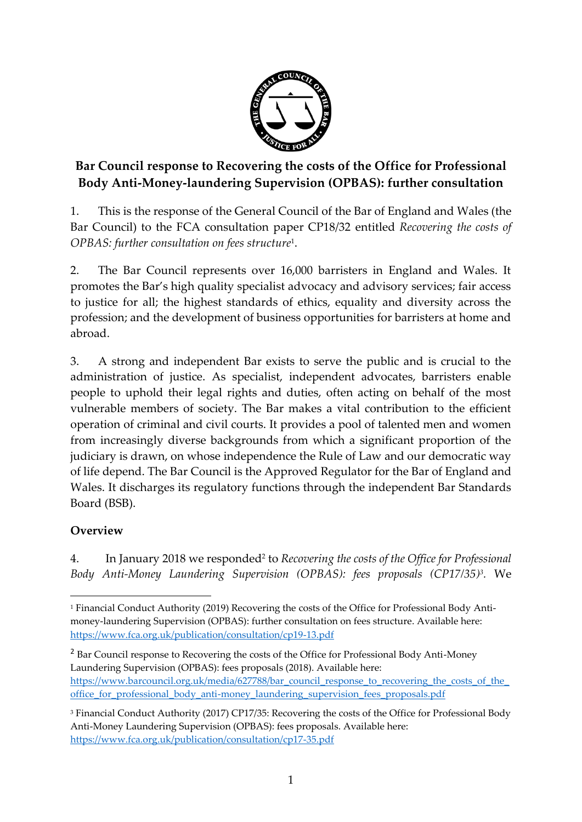

## **Bar Council response to Recovering the costs of the Office for Professional Body Anti-Money-laundering Supervision (OPBAS): further consultation**

1. This is the response of the General Council of the Bar of England and Wales (the Bar Council) to the FCA consultation paper CP18/32 entitled *Recovering the costs of OPBAS: further consultation on fees structure*<sup>1</sup> .

2. The Bar Council represents over 16,000 barristers in England and Wales. It promotes the Bar's high quality specialist advocacy and advisory services; fair access to justice for all; the highest standards of ethics, equality and diversity across the profession; and the development of business opportunities for barristers at home and abroad.

3. A strong and independent Bar exists to serve the public and is crucial to the administration of justice. As specialist, independent advocates, barristers enable people to uphold their legal rights and duties, often acting on behalf of the most vulnerable members of society. The Bar makes a vital contribution to the efficient operation of criminal and civil courts. It provides a pool of talented men and women from increasingly diverse backgrounds from which a significant proportion of the judiciary is drawn, on whose independence the Rule of Law and our democratic way of life depend. The Bar Council is the Approved Regulator for the Bar of England and Wales. It discharges its regulatory functions through the independent Bar Standards Board (BSB).

## **Overview**

**.** 

4. In January 2018 we responded<sup>2</sup> to *Recovering the costs of the Office for Professional Body Anti-Money Laundering Supervision (OPBAS): fees proposals (CP17/35)<sup>3</sup>. We* 

<sup>2</sup> Bar Council response to Recovering the costs of the Office for Professional Body Anti-Money Laundering Supervision (OPBAS): fees proposals (2018). Available here: https://www.barcouncil.org.uk/media/627788/bar\_council\_response\_to\_recovering\_the\_costs\_of\_the\_ office for professional body anti-money laundering supervision fees proposals.pdf

<sup>1</sup> Financial Conduct Authority (2019) Recovering the costs of the Office for Professional Body Antimoney-laundering Supervision (OPBAS): further consultation on fees structure. Available here: <https://www.fca.org.uk/publication/consultation/cp19-13.pdf>

<sup>3</sup> Financial Conduct Authority (2017) CP17/35: Recovering the costs of the Office for Professional Body Anti-Money Laundering Supervision (OPBAS): fees proposals. Available here: <https://www.fca.org.uk/publication/consultation/cp17-35.pdf>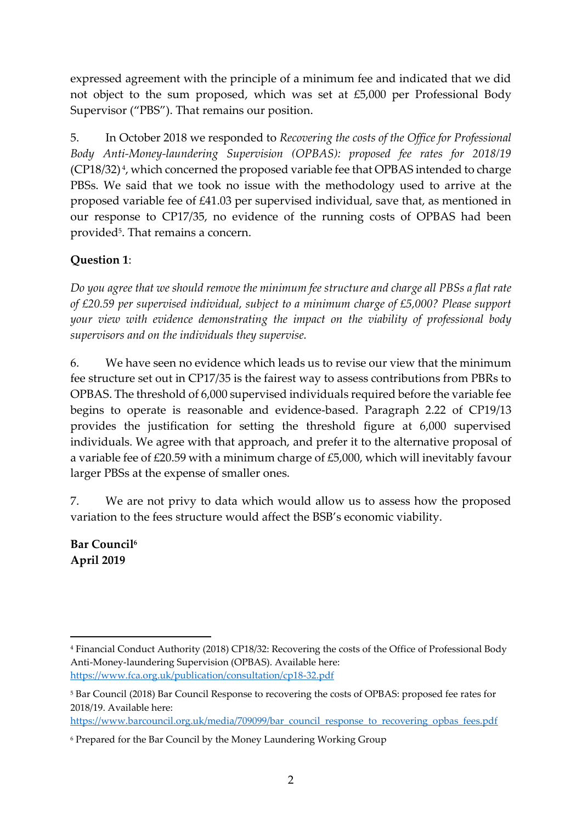expressed agreement with the principle of a minimum fee and indicated that we did not object to the sum proposed, which was set at £5,000 per Professional Body Supervisor ("PBS"). That remains our position.

5. In October 2018 we responded to *Recovering the costs of the Office for Professional Body Anti-Money-laundering Supervision (OPBAS): proposed fee rates for 2018/19*  (CP18/32) 4 , which concerned the proposed variable fee that OPBAS intended to charge PBSs. We said that we took no issue with the methodology used to arrive at the proposed variable fee of £41.03 per supervised individual, save that, as mentioned in our response to CP17/35, no evidence of the running costs of OPBAS had been provided<sup>5</sup>. That remains a concern.

## **Question 1**:

*Do you agree that we should remove the minimum fee structure and charge all PBSs a flat rate of £20.59 per supervised individual, subject to a minimum charge of £5,000? Please support your view with evidence demonstrating the impact on the viability of professional body supervisors and on the individuals they supervise.*

6. We have seen no evidence which leads us to revise our view that the minimum fee structure set out in CP17/35 is the fairest way to assess contributions from PBRs to OPBAS. The threshold of 6,000 supervised individuals required before the variable fee begins to operate is reasonable and evidence-based. Paragraph 2.22 of CP19/13 provides the justification for setting the threshold figure at 6,000 supervised individuals. We agree with that approach, and prefer it to the alternative proposal of a variable fee of £20.59 with a minimum charge of £5,000, which will inevitably favour larger PBSs at the expense of smaller ones.

7. We are not privy to data which would allow us to assess how the proposed variation to the fees structure would affect the BSB's economic viability.

**Bar Council<sup>6</sup> April 2019**

**.** 

<sup>4</sup> Financial Conduct Authority (2018) CP18/32: Recovering the costs of the Office of Professional Body Anti-Money-laundering Supervision (OPBAS). Available here: <https://www.fca.org.uk/publication/consultation/cp18-32.pdf>

<sup>5</sup> Bar Council (2018) Bar Council Response to recovering the costs of OPBAS: proposed fee rates for 2018/19. Available here:

[https://www.barcouncil.org.uk/media/709099/bar\\_council\\_response\\_to\\_recovering\\_opbas\\_fees.pdf](https://www.barcouncil.org.uk/media/709099/bar_council_response_to_recovering_opbas_fees.pdf)

<sup>6</sup> Prepared for the Bar Council by the Money Laundering Working Group